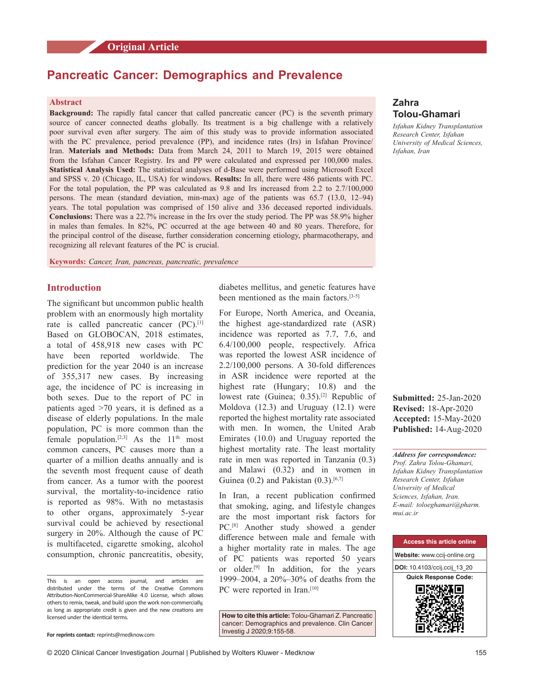# **Original Article**

# **Pancreatic Cancer: Demographics and Prevalence**

## **Abstract**

**Background:** The rapidly fatal cancer that called pancreatic cancer (PC) is the seventh primary source of cancer connected deaths globally. Its treatment is a big challenge with a relatively poor survival even after surgery. The aim of this study was to provide information associated with the PC prevalence, period prevalence (PP), and incidence rates (Irs) in Isfahan Province/ Iran. **Materials and Methods:** Data from March 24, 2011 to March 19, 2015 were obtained from the Isfahan Cancer Registry. Irs and PP were calculated and expressed per 100,000 males. **Statistical Analysis Used:** The statistical analyses of d‑Base were performed using Microsoft Excel and SPSS v. 20 (Chicago, IL, USA) for windows. **Results:** In all, there were 486 patients with PC. For the total population, the PP was calculated as 9.8 and Irs increased from 2.2 to 2.7/100,000 persons. The mean (standard deviation, min‑max) age of the patients was 65.7 (13.0, 12–94) years. The total population was comprised of 150 alive and 336 deceased reported individuals. **Conclusions:** There was a 22.7% increase in the Irs over the study period. The PP was 58.9% higher in males than females. In 82%, PC occurred at the age between 40 and 80 years. Therefore, for the principal control of the disease, further consideration concerning etiology, pharmacotherapy, and recognizing all relevant features of the PC is crucial.

**Keywords:** *Cancer, Iran, pancreas, pancreatic, prevalence*

# **Introduction**

The significant but uncommon public health problem with an enormously high mortality rate is called pancreatic cancer (PC).<sup>[1]</sup> Based on GLOBOCAN, 2018 estimates, a total of 458,918 new cases with PC have been reported worldwide. The prediction for the year 2040 is an increase of 355,317 new cases. By increasing age, the incidence of PC is increasing in both sexes. Due to the report of PC in patients aged  $>70$  years, it is defined as a disease of elderly populations. In the male population, PC is more common than the female population.<sup>[2,3]</sup> As the  $11<sup>th</sup>$  most common cancers, PC causes more than a quarter of a million deaths annually and is the seventh most frequent cause of death from cancer. As a tumor with the poorest survival, the mortality-to-incidence ratio is reported as 98%. With no metastasis to other organs, approximately 5‑year survival could be achieved by resectional surgery in 20%. Although the cause of PC is multifaceted, cigarette smoking, alcohol consumption, chronic pancreatitis, obesity, diabetes mellitus, and genetic features have been mentioned as the main factors.<sup>[3-5]</sup>

For Europe, North America, and Oceania, the highest age‑standardized rate (ASR) incidence was reported as 7.7, 7.6, and 6.4/100,000 people, respectively. Africa was reported the lowest ASR incidence of 2.2/100,000 persons. A 30‑fold differences in ASR incidence were reported at the highest rate (Hungary; 10.8) and the lowest rate (Guinea; 0.35).<sup>[2]</sup> Republic of Moldova (12.3) and Uruguay (12.1) were reported the highest mortality rate associated with men. In women, the United Arab Emirates (10.0) and Uruguay reported the highest mortality rate. The least mortality rate in men was reported in Tanzania (0.3) and Malawi (0.32) and in women in Guinea  $(0.2)$  and Pakistan  $(0.3)$ .<sup>[6,7]</sup>

In Iran, a recent publication confirmed that smoking, aging, and lifestyle changes are the most important risk factors for PC.<sup>[8]</sup> Another study showed a gender difference between male and female with a higher mortality rate in males. The age of PC patients was reported 50 years or older.[9] In addition, for the years 1999–2004, a 20%–30% of deaths from the PC were reported in Iran.<sup>[10]</sup>

**How to cite this article:** Tolou-Ghamari Z. Pancreatic cancer: Demographics and prevalence. Clin Cancer Investig J 2020;9:155-58.

# **Zahra Tolou‑Ghamari**

*Isfahan Kidney Transplantation Research Center, Isfahan University of Medical Sciences, Isfahan, Iran*

**Submitted:** 25‑Jan‑2020 **Revised:** 18-Apr-2020 **Accepted:** 15-May-2020 **Published:** 14-Aug-2020

*Address for correspondence: Prof. Zahra Tolou‑Ghamari, Isfahan Kidney Transplantation Research Center, Isfahan University of Medical Sciences, Isfahan, Iran. E‑mail: toloeghamari@pharm. mui.ac.ir*



This is an open access journal, and articles are distributed under the terms of the Creative Commons Attribution‑NonCommercial‑ShareAlike 4.0 License, which allows others to remix, tweak, and build upon the work non‑commercially, as long as appropriate credit is given and the new creations are licensed under the identical terms.

**For reprints contact:** reprints@medknow.com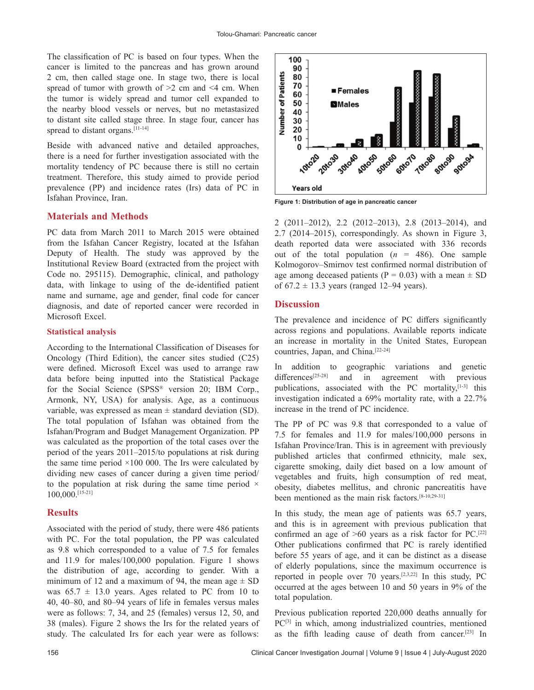The classification of PC is based on four types. When the cancer is limited to the pancreas and has grown around 2 cm, then called stage one. In stage two, there is local spread of tumor with growth of  $>2$  cm and  $\leq 4$  cm. When the tumor is widely spread and tumor cell expanded to the nearby blood vessels or nerves, but no metastasized to distant site called stage three. In stage four, cancer has spread to distant organs.<sup>[11-14]</sup>

Beside with advanced native and detailed approaches, there is a need for further investigation associated with the mortality tendency of PC because there is still no certain treatment. Therefore, this study aimed to provide period prevalence (PP) and incidence rates (Irs) data of PC in Isfahan Province, Iran.

### **Materials and Methods**

PC data from March 2011 to March 2015 were obtained from the Isfahan Cancer Registry, located at the Isfahan Deputy of Health. The study was approved by the Institutional Review Board (extracted from the project with Code no. 295115). Demographic, clinical, and pathology data, with linkage to using of the de‑identified patient name and surname, age and gender, final code for cancer diagnosis, and date of reported cancer were recorded in Microsoft Excel.

#### **Statistical analysis**

According to the International Classification of Diseases for Oncology (Third Edition), the cancer sites studied (C25) were defined. Microsoft Excel was used to arrange raw data before being inputted into the Statistical Package for the Social Science (SPSS® version 20; IBM Corp., Armonk, NY, USA) for analysis. Age, as a continuous variable, was expressed as mean  $\pm$  standard deviation (SD). The total population of Isfahan was obtained from the Isfahan/Program and Budget Management Organization. PP was calculated as the proportion of the total cases over the period of the years 2011–2015/to populations at risk during the same time period  $\times$ 100 000. The Irs were calculated by dividing new cases of cancer during a given time period/ to the population at risk during the same time period  $\times$ 100,000.[15‑21]

### **Results**

Associated with the period of study, there were 486 patients with PC. For the total population, the PP was calculated as 9.8 which corresponded to a value of 7.5 for females and 11.9 for males/100,000 population. Figure 1 shows the distribution of age, according to gender. With a minimum of 12 and a maximum of 94, the mean age  $\pm$  SD was  $65.7 \pm 13.0$  years. Ages related to PC from 10 to 40, 40–80, and 80–94 years of life in females versus males were as follows: 7, 34, and 25 (females) versus 12, 50, and 38 (males). Figure 2 shows the Irs for the related years of study. The calculated Irs for each year were as follows:



**Figure 1: Distribution of age in pancreatic cancer**

2 (2011–2012), 2.2 (2012–2013), 2.8 (2013–2014), and 2.7 (2014–2015), correspondingly. As shown in Figure 3, death reported data were associated with 336 records out of the total population  $(n = 486)$ . One sample Kolmogorov–Smirnov test confirmed normal distribution of age among deceased patients  $(P = 0.03)$  with a mean  $\pm$  SD of  $67.2 \pm 13.3$  years (ranged 12–94 years).

#### **Discussion**

The prevalence and incidence of PC differs significantly across regions and populations. Available reports indicate an increase in mortality in the United States, European countries, Japan, and China.<sup>[22-24]</sup>

In addition to geographic variations and genetic differences<sup>[25-28]</sup> and in agreement with previous publications, associated with the PC mortality, [1-3] this investigation indicated a 69% mortality rate, with a 22.7% increase in the trend of PC incidence.

The PP of PC was 9.8 that corresponded to a value of 7.5 for females and 11.9 for males/100,000 persons in Isfahan Province/Iran. This is in agreement with previously published articles that confirmed ethnicity, male sex, cigarette smoking, daily diet based on a low amount of vegetables and fruits, high consumption of red meat, obesity, diabetes mellitus, and chronic pancreatitis have been mentioned as the main risk factors.<sup>[8-10,29-31]</sup>

In this study, the mean age of patients was 65.7 years, and this is in agreement with previous publication that confirmed an age of  $>60$  years as a risk factor for PC.<sup>[22]</sup> Other publications confirmed that PC is rarely identified before 55 years of age, and it can be distinct as a disease of elderly populations, since the maximum occurrence is reported in people over 70 years.<sup>[2,3,22]</sup> In this study, PC occurred at the ages between 10 and 50 years in 9% of the total population.

Previous publication reported 220,000 deaths annually for PC<sup>[3]</sup> in which, among industrialized countries, mentioned as the fifth leading cause of death from cancer.[23] In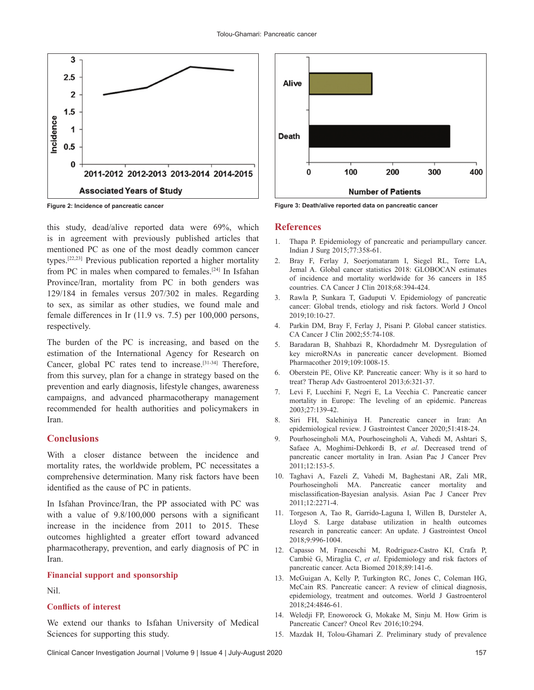

this study, dead/alive reported data were 69%, which is in agreement with previously published articles that mentioned PC as one of the most deadly common cancer types.[22,23] Previous publication reported a higher mortality from PC in males when compared to females.[24] In Isfahan Province/Iran, mortality from PC in both genders was 129/184 in females versus 207/302 in males. Regarding to sex, as similar as other studies, we found male and female differences in Ir (11.9 vs. 7.5) per 100,000 persons, respectively.

The burden of the PC is increasing, and based on the estimation of the International Agency for Research on Cancer, global PC rates tend to increase.<sup>[31-34]</sup> Therefore, from this survey, plan for a change in strategy based on the prevention and early diagnosis, lifestyle changes, awareness campaigns, and advanced pharmacotherapy management recommended for health authorities and policymakers in Iran.

## **Conclusions**

With a closer distance between the incidence and mortality rates, the worldwide problem, PC necessitates a comprehensive determination. Many risk factors have been identified as the cause of PC in patients.

In Isfahan Province/Iran, the PP associated with PC was with a value of  $9.8/100,000$  persons with a significant increase in the incidence from 2011 to 2015. These outcomes highlighted a greater effort toward advanced pharmacotherapy, prevention, and early diagnosis of PC in Iran.

#### **Financial support and sponsorship**

Nil.

#### **Conflicts of interest**

We extend our thanks to Isfahan University of Medical Sciences for supporting this study.



**Figure 2: Incidence of pancreatic cancer Figure 3: Death/alive reported data on pancreatic cancer**

#### **References**

- 1. Thapa P. Epidemiology of pancreatic and periampullary cancer. Indian J Surg 2015;77:358‑61.
- 2. Bray F, Ferlay J, Soerjomataram I, Siegel RL, Torre LA, Jemal A. Global cancer statistics 2018: GLOBOCAN estimates of incidence and mortality worldwide for 36 cancers in 185 countries. CA Cancer J Clin 2018;68:394‑424.
- 3. Rawla P, Sunkara T, Gaduputi V. Epidemiology of pancreatic cancer: Global trends, etiology and risk factors. World J Oncol 2019;10:10‑27.
- 4. Parkin DM, Bray F, Ferlay J, Pisani P. Global cancer statistics. CA Cancer J Clin 2002;55:74‑108.
- 5. Baradaran B, Shahbazi R, Khordadmehr M. Dysregulation of key microRNAs in pancreatic cancer development. Biomed Pharmacother 2019;109:1008‑15.
- 6. Oberstein PE, Olive KP. Pancreatic cancer: Why is it so hard to treat? Therap Adv Gastroenterol 2013;6:321‑37.
- 7. Levi F, Lucchini F, Negri E, La Vecchia C. Pancreatic cancer mortality in Europe: The leveling of an epidemic. Pancreas 2003;27:139‑42.
- 8. Siri FH, Salehiniya H. Pancreatic cancer in Iran: An epidemiological review. J Gastrointest Cancer 2020;51:418‑24.
- 9. Pourhoseingholi MA, Pourhoseingholi A, Vahedi M, Ashtari S, Safaee A, Moghimi‑Dehkordi B, *et al*. Decreased trend of pancreatic cancer mortality in Iran. Asian Pac J Cancer Prev 2011;12:153‑5.
- 10. Taghavi A, Fazeli Z, Vahedi M, Baghestani AR, Zali MR, Pourhoseingholi MA. Pancreatic cancer mortality and misclassification‑Bayesian analysis. Asian Pac J Cancer Prev 2011;12:2271‑4.
- 11. Torgeson A, Tao R, Garrido-Laguna I, Willen B, Dursteler A, Lloyd S. Large database utilization in health outcomes research in pancreatic cancer: An update. J Gastrointest Oncol 2018;9:996‑1004.
- 12. Capasso M, Franceschi M, Rodriguez‑Castro KI, Crafa P, Cambiè G, Miraglia C, *et al*. Epidemiology and risk factors of pancreatic cancer. Acta Biomed 2018;89:141‑6.
- 13. McGuigan A, Kelly P, Turkington RC, Jones C, Coleman HG, McCain RS. Pancreatic cancer: A review of clinical diagnosis, epidemiology, treatment and outcomes. World J Gastroenterol 2018;24:4846‑61.
- 14. Weledji FP, Enoworock G, Mokake M, Sinju M. How Grim is Pancreatic Cancer? Oncol Rev 2016;10:294.
- 15. Mazdak H, Tolou‑Ghamari Z. Preliminary study of prevalence